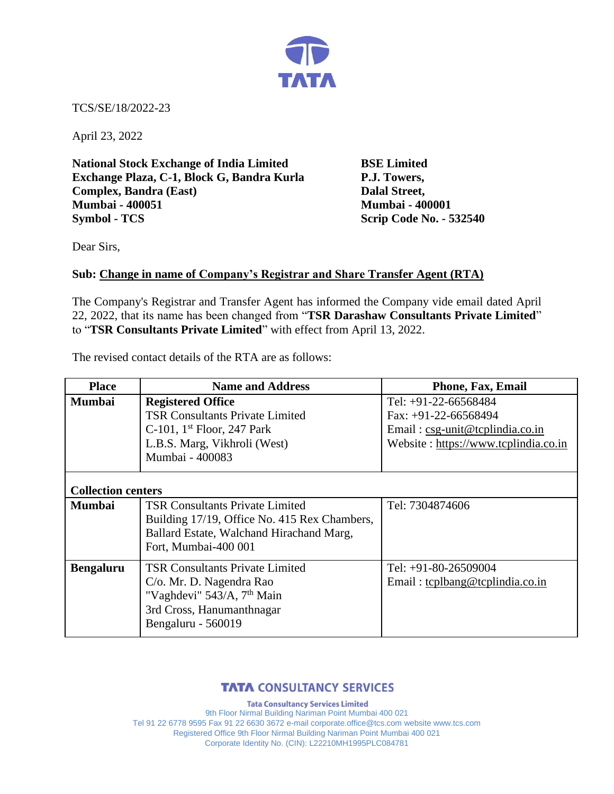

TCS/SE/18/2022-23

April 23, 2022

**National Stock Exchange of India Limited BSE Limited Exchange Plaza, C-1, Block G, Bandra Kurla P.J. Towers, Complex, Bandra (East)** Dalal Street, **Mumbai - 400051 Mumbai - 400001 Symbol - TCS Scrip Code No. - 532540** 

Dear Sirs,

## **Sub: Change in name of Company's Registrar and Share Transfer Agent (RTA)**

The Company's Registrar and Transfer Agent has informed the Company vide email dated April 22, 2022, that its name has been changed from "**TSR Darashaw Consultants Private Limited**" to "**TSR Consultants Private Limited**" with effect from April 13, 2022.

The revised contact details of the RTA are as follows:

| <b>Place</b>              | <b>Name and Address</b>                                                                                                                                         | Phone, Fax, Email                                                                                                         |  |
|---------------------------|-----------------------------------------------------------------------------------------------------------------------------------------------------------------|---------------------------------------------------------------------------------------------------------------------------|--|
| <b>Mumbai</b>             | <b>Registered Office</b><br><b>TSR Consultants Private Limited</b><br>C-101, $1st$ Floor, 247 Park<br>L.B.S. Marg, Vikhroli (West)<br>Mumbai - 400083           | Tel: +91-22-66568484<br>Fax: $+91-22-66568494$<br>Email: csg-unit@tcplindia.co.in<br>Website: https://www.tcplindia.co.in |  |
| <b>Collection centers</b> |                                                                                                                                                                 |                                                                                                                           |  |
| <b>Mumbai</b>             | <b>TSR Consultants Private Limited</b><br>Building 17/19, Office No. 415 Rex Chambers,<br>Ballard Estate, Walchand Hirachand Marg,<br>Fort, Mumbai-400 001      | Tel: 7304874606                                                                                                           |  |
| <b>Bengaluru</b>          | <b>TSR Consultants Private Limited</b><br>C/o. Mr. D. Nagendra Rao<br>"Vaghdevi" 543/A, 7 <sup>th</sup> Main<br>3rd Cross, Hanumanthnagar<br>Bengaluru - 560019 | Tel: +91-80-26509004<br>Email: tcplbang@tcplindia.co.in                                                                   |  |

## **TATA CONSULTANCY SERVICES**

**Tata Consultancy Services Limited** 9th Floor Nirmal Building Nariman Point Mumbai 400 021 Tel 91 22 6778 9595 Fax 91 22 6630 3672 e-mail corporate.office@tcs.com website www.tcs.com Registered Office 9th Floor Nirmal Building Nariman Point Mumbai 400 021 Corporate Identity No. (CIN): L22210MH1995PLC084781